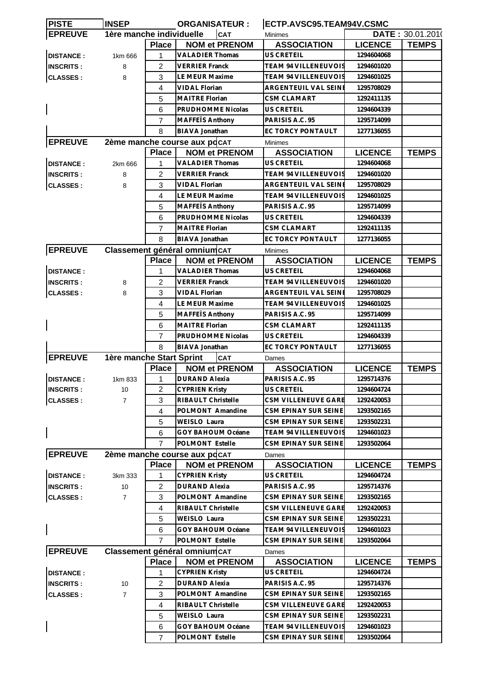| <b>PISTE</b>     | <b>INSEP</b>             |                | <b>ORGANISATEUR:</b>          | ECTP.AVSC95.TEAM94V.CSMC    |                |                  |
|------------------|--------------------------|----------------|-------------------------------|-----------------------------|----------------|------------------|
| <b>EPREUVE</b>   | 1ère manche individuelle |                | <b>CAT</b>                    | <b>Minimes</b>              |                | DATE: 30.01.2010 |
|                  |                          | <b>Place</b>   | <b>NOM et PRENOM</b>          | <b>ASSOCIATION</b>          | <b>LICENCE</b> | <b>TEMPS</b>     |
| <b>DISTANCE:</b> | 1km 666                  | 1              | <b>VALADIER Thomas</b>        | <b>US CRETEIL</b>           | 1294604068     |                  |
| <b>INSCRITS:</b> | 8                        | 2              | VERRIER Franck                | TEAM 94 VILLENEUVOIS        | 1294601020     |                  |
| <b>CLASSES:</b>  | 8                        | 3              | LE MEUR Maxime                | <b>TEAM 94 VILLENEUVOIS</b> | 1294601025     |                  |
|                  |                          | 4              | <b>VIDAL Florian</b>          | ARGENTEUIL VAL SEINE        | 1295708029     |                  |
|                  |                          | 5              | <b>MAITRE Florian</b>         | CSM CLAMART                 | 1292411135     |                  |
|                  |                          | 6              | PRUDHOMME Nicolas             | <b>US CRETEIL</b>           | 1294604339     |                  |
|                  |                          | 7              | <b>MAFFETS Anthony</b>        | PARISIS A.C. 95             | 1295714099     |                  |
|                  |                          | 8              | BIAVA Jonathan                | EC TORCY PONTAULT           | 1277136055     |                  |
| <b>EPREUVE</b>   |                          |                | 2ème manche course aux pdcAT  | <b>Minimes</b>              |                |                  |
|                  |                          | <b>Place</b>   | <b>NOM et PRENOM</b>          | <b>ASSOCIATION</b>          | <b>LICENCE</b> | <b>TEMPS</b>     |
| <b>DISTANCE:</b> | 2km 666                  | 1              | <b>VALADIER Thomas</b>        | US CRETEIL                  | 1294604068     |                  |
| <b>INSCRITS:</b> | 8                        | 2              | VERRIER Franck                | <b>TEAM 94 VILLENEUVOIS</b> | 1294601020     |                  |
| <b>CLASSES:</b>  | 8                        | 3              | <b>VIDAL Florian</b>          | ARGENTEUIL VAL SEINI        | 1295708029     |                  |
|                  |                          | 4              | LE MEUR Maxime                | TEAM 94 VILLENEUVOIS        | 1294601025     |                  |
|                  |                          | 5              | MAFFEIS Anthony               | PARISIS A.C. 95             | 1295714099     |                  |
|                  |                          | 6              | PRUDHOMME Nicolas             | <b>US CRETEIL</b>           | 1294604339     |                  |
|                  |                          |                |                               |                             |                |                  |
|                  |                          | 7              | MAITRE Florian                | CSM CLAMART                 | 1292411135     |                  |
|                  |                          | 8              | BIAVA Jonathan                | EC TORCY PONTAULT           | 1277136055     |                  |
| <b>EPREUVE</b>   |                          |                | Classement général omnium CAT | <b>Minimes</b>              |                |                  |
|                  |                          | <b>Place</b>   | <b>NOM et PRENOM</b>          | <b>ASSOCIATION</b>          | <b>LICENCE</b> | <b>TEMPS</b>     |
| <b>DISTANCE:</b> |                          | 1              | <b>VALADIER Thomas</b>        | <b>US CRETEIL</b>           | 1294604068     |                  |
| <b>INSCRITS:</b> | 8                        | 2              | VERRIER Franck                | <b>TEAM 94 VILLENEUVOIS</b> | 1294601020     |                  |
| <b>CLASSES:</b>  | 8                        | 3              | <b>VIDAL Florian</b>          | ARGENTEUIL VAL SEINE        | 1295708029     |                  |
|                  |                          | 4              | LE MEUR Maxime                | <b>TEAM 94 VILLENEUVOIS</b> | 1294601025     |                  |
|                  |                          | 5              | MAFFEIS Anthony               | PARISIS A.C. 95             | 1295714099     |                  |
|                  |                          | 6              | MAITRE Florian                | <b>CSM CLAMART</b>          | 1292411135     |                  |
|                  |                          | 7              | PRUDHOMME Nicolas             | US CRETEIL                  | 1294604339     |                  |
|                  |                          | 8              | <b>BIAVA Jonathan</b>         | EC TORCY PONTAULT           | 1277136055     |                  |
| <b>EPREUVE</b>   | 1ère manche Start Sprint |                | CAT                           | Dames                       |                |                  |
|                  |                          | <b>Place</b>   | <b>NOM et PRENOM</b>          | <b>ASSOCIATION</b>          | <b>LICENCE</b> | <b>TEMPS</b>     |
| <b>DISTANCE:</b> | 1km 833                  | 1              | <b>DURAND Alexia</b>          | PARISIS A.C. 95             | 1295714376     |                  |
| <b>INSCRITS:</b> | 10                       | $\overline{2}$ | <b>CYPRIEN Kristy</b>         | US CRETEIL                  | 1294604724     |                  |
| <b>CLASSES:</b>  | $\overline{7}$           | 3              | RIBAULT Christelle            | CSM VILLENEUVE GARE         | 1292420053     |                  |
|                  |                          | 4              | POLMONT Amandine              | CSM EPINAY SUR SEINE        | 1293502165     |                  |
|                  |                          | 5              | WEISLO Laura                  | CSM EPINAY SUR SEINE        | 1293502231     |                  |
|                  |                          | 6              | <b>GOY BAHOUM Océane</b>      | TEAM 94 VILLENEUVOIS        | 1294601023     |                  |
|                  |                          | $\overline{7}$ | POLMONT Estelle               | CSM EPINAY SUR SEINE        | 1293502064     |                  |
| <b>EPREUVE</b>   |                          |                | 2ème manche course aux pdcAT  | Dames                       |                |                  |
|                  |                          | <b>Place</b>   | <b>NOM et PRENOM</b>          | <b>ASSOCIATION</b>          | <b>LICENCE</b> | <b>TEMPS</b>     |
| <b>DISTANCE:</b> | 3km 333                  | 1              | <b>CYPRIEN Kristy</b>         | US CRETEIL                  | 1294604724     |                  |
| <b>INSCRITS:</b> | 10                       | 2              | <b>DURAND Alexia</b>          | PARISIS A.C. 95             | 1295714376     |                  |
| <b>CLASSES:</b>  | $\overline{7}$           | 3              | POLMONT Amandine              | CSM EPINAY SUR SEINE        | 1293502165     |                  |
|                  |                          | 4              | RIBAULT Christelle            | CSM VILLENEUVE GARE         | 1292420053     |                  |
|                  |                          | 5              | WEISLO Laura                  | CSM EPINAY SUR SEINE        | 1293502231     |                  |
|                  |                          | 6              | GOY BAHOUM Océane             | <b>TEAM 94 VILLENEUVOIS</b> | 1294601023     |                  |
|                  |                          | 7              | POLMONT Estelle               | CSM EPINAY SUR SEINE        | 1293502064     |                  |
| <b>EPREUVE</b>   |                          |                | Classement général omnium CAT |                             |                |                  |
|                  |                          | <b>Place</b>   |                               | Dames                       |                |                  |
|                  |                          | 1              | <b>NOM et PRENOM</b>          | <b>ASSOCIATION</b>          | <b>LICENCE</b> | <b>TEMPS</b>     |
| <b>DISTANCE:</b> |                          |                | <b>CYPRIEN Kristy</b>         | US CRETEIL                  | 1294604724     |                  |
| <b>INSCRITS:</b> | 10                       | 2              | DURAND Alexia                 | PARISIS A.C. 95             | 1295714376     |                  |
| <b>CLASSES:</b>  | $\overline{7}$           | 3              | POLMONT Amandine              | CSM EPINAY SUR SEINE        | 1293502165     |                  |
|                  |                          | 4              | RIBAULT Christelle            | CSM VILLENEUVE GARE         | 1292420053     |                  |
|                  |                          | 5              | WEISLO Laura                  | CSM EPINAY SUR SEINE        | 1293502231     |                  |
|                  |                          | 6              | GOY BAHOUM Océane             | TEAM 94 VILLENEUVOIS        | 1294601023     |                  |
|                  |                          | $\overline{7}$ | POLMONT Estelle               | CSM EPINAY SUR SEINE        | 1293502064     |                  |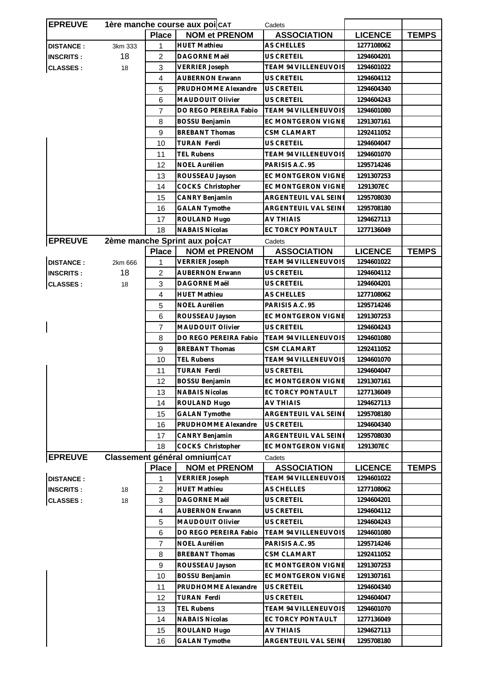| <b>EPREUVE</b>   |         | 1ère manche course aux poi CAT |                                | Cadets                      |                |              |
|------------------|---------|--------------------------------|--------------------------------|-----------------------------|----------------|--------------|
|                  |         | <b>Place</b>                   | <b>NOM et PRENOM</b>           | <b>ASSOCIATION</b>          | <b>LICENCE</b> | <b>TEMPS</b> |
| <b>DISTANCE:</b> | 3km 333 | 1                              | <b>HUET Mathieu</b>            | AS CHELLES                  | 1277108062     |              |
| <b>INSCRITS:</b> | 18      | $\overline{2}$                 | DAGORNE Maël                   | <b>US CRETEIL</b>           | 1294604201     |              |
| <b>CLASSES:</b>  | 18      | 3                              | <b>VERRIER Joseph</b>          | TEAM 94 VILLENEUVOIS        | 1294601022     |              |
|                  |         | 4                              | <b>AUBERNON Erwann</b>         | <b>US CRETEIL</b>           | 1294604112     |              |
|                  |         | 5                              | PRUDHOMME Alexandre            | US CRETEIL                  | 1294604340     |              |
|                  |         | 6                              | MAUDOUIT Olivier               | US CRETEIL                  | 1294604243     |              |
|                  |         | $\overline{7}$                 | DO REGO PEREIRA Fabio          | TEAM 94 VILLENEUVOIS        | 1294601080     |              |
|                  |         | 8                              | BOSSU Benjamin                 | EC MONTGERON VIGNE          | 1291307161     |              |
|                  |         | 9                              | <b>BREBANT Thomas</b>          | <b>CSM CLAMART</b>          | 1292411052     |              |
|                  |         | 10                             | <b>TURAN Ferdi</b>             | <b>US CRETEIL</b>           | 1294604047     |              |
|                  |         | 11                             | <b>TEL Rubens</b>              | <b>TEAM 94 VILLENEUVOIS</b> | 1294601070     |              |
|                  |         | 12                             | NOEL Aurélien                  | PARISIS A.C. 95             | 1295714246     |              |
|                  |         | 13                             | ROUSSEAU Jayson                | EC MONTGERON VIGNE          | 1291307253     |              |
|                  |         | 14                             | COCKS Christopher              | <b>EC MONTGERON VIGNE</b>   | 1291307EC      |              |
|                  |         | 15                             | CANRY Benjamin                 | ARGENTEUIL VAL SEINE        | 1295708030     |              |
|                  |         | 16                             | <b>GALAN Tymothe</b>           | ARGENTEUIL VAL SEINE        | 1295708180     |              |
|                  |         | 17                             | ROULAND Hugo                   | AV THIAIS                   | 1294627113     |              |
|                  |         | 18                             | <b>NABAIS Nicolas</b>          | EC TORCY PONTAULT           | 1277136049     |              |
| <b>EPREUVE</b>   |         |                                | 2ème manche Sprint aux poi CAT | Cadets                      |                |              |
|                  |         | <b>Place</b>                   | <b>NOM et PRENOM</b>           | <b>ASSOCIATION</b>          | <b>LICENCE</b> | <b>TEMPS</b> |
| <b>DISTANCE:</b> | 2km 666 | 1                              | <b>VERRIER Joseph</b>          | TEAM 94 VILLENEUVOIS        | 1294601022     |              |
| <b>INSCRITS:</b> | 18      | $\overline{2}$                 | <b>AUBERNON Erwann</b>         | US CRETEIL                  | 1294604112     |              |
| <b>CLASSES:</b>  | 18      | 3                              | DAGORNE Maël                   | US CRETEIL                  | 1294604201     |              |
|                  |         | $\overline{4}$                 | <b>HUET Mathieu</b>            | AS CHELLES                  | 1277108062     |              |
|                  |         | 5                              | NOEL Aurélien                  | PARISIS A.C. 95             | 1295714246     |              |
|                  |         | 6                              | ROUSSEAU Jayson                | <b>EC MONTGERON VIGNE</b>   | 1291307253     |              |
|                  |         | $\overline{7}$                 | MAUDOUIT Olivier               | US CRETEIL                  | 1294604243     |              |
|                  |         | 8                              | DO REGO PEREIRA Fabio          | <b>TEAM 94 VILLENEUVOIS</b> | 1294601080     |              |
|                  |         | 9                              | <b>BREBANT Thomas</b>          | CSM CLAMART                 | 1292411052     |              |
|                  |         | 10                             | <b>TEL Rubens</b>              | <b>TEAM 94 VILLENEUVOIS</b> | 1294601070     |              |
|                  |         | 11                             | <b>TURAN Ferdi</b>             | <b>US CRETEIL</b>           | 1294604047     |              |
|                  |         | 12                             | <b>BOSSU Benjamin</b>          | EC MONTGERON VIGNE          | 1291307161     |              |
|                  |         | 13                             | <b>NABAIS Nicolas</b>          | EC TORCY PONTAULT           | 1277136049     |              |
|                  |         | 14                             | ROULAND Hugo                   | <b>AV THIAIS</b>            | 1294627113     |              |
|                  |         | 15                             | <b>GALAN Tymothe</b>           | ARGENTEUIL VAL SEINE        | 1295708180     |              |
|                  |         | 16                             | PRUDHOMME Alexandre            | US CRETEIL                  | 1294604340     |              |
|                  |         | 17                             | CANRY Benjamin                 | ARGENTEUIL VAL SEINE        | 1295708030     |              |
|                  |         | 18                             | COCKS Christopher              | EC MONTGERON VIGNE          | 1291307EC      |              |
| <b>EPREUVE</b>   |         |                                | Classement général omnium CAT  | Cadets                      |                |              |
|                  |         | <b>Place</b>                   | <b>NOM et PRENOM</b>           | <b>ASSOCIATION</b>          | <b>LICENCE</b> | <b>TEMPS</b> |
| <b>DISTANCE:</b> |         | 1                              | <b>VERRIER Joseph</b>          | <b>TEAM 94 VILLENEUVOIS</b> | 1294601022     |              |
| <b>INSCRITS:</b> | 18      | $\overline{c}$                 | <b>HUET Mathieu</b>            | AS CHELLES                  | 1277108062     |              |
| <b>CLASSES:</b>  | 18      | 3                              | DAGORNE Maël                   | US CRETEIL                  | 1294604201     |              |
|                  |         | $\overline{\mathbf{4}}$        | <b>AUBERNON Erwann</b>         | US CRETEIL                  | 1294604112     |              |
|                  |         | 5                              | MAUDOUIT Olivier               | US CRETEIL                  | 1294604243     |              |
|                  |         | 6                              | DO REGO PEREIRA Fabio          | <b>TEAM 94 VILLENEUVOIS</b> | 1294601080     |              |
|                  |         | $\overline{7}$                 | NOEL Aurélien                  | PARISIS A.C. 95             | 1295714246     |              |
|                  |         | 8                              | <b>BREBANT Thomas</b>          | <b>CSM CLAMART</b>          | 1292411052     |              |
|                  |         | 9                              | ROUSSEAU Jayson                | EC MONTGERON VIGNE          | 1291307253     |              |
|                  |         | 10                             | BOSSU Benjamin                 | EC MONTGERON VIGNE          | 1291307161     |              |
|                  |         | 11                             | PRUDHOMME Alexandre            | US CRETEIL                  | 1294604340     |              |
|                  |         | 12                             | <b>TURAN Ferdi</b>             | US CRETEIL                  | 1294604047     |              |
|                  |         | 13                             | <b>TEL Rubens</b>              | TEAM 94 VILLENEUVOIS        | 1294601070     |              |
|                  |         | 14                             | <b>NABAIS Nicolas</b>          | EC TORCY PONTAULT           | 1277136049     |              |
|                  |         | 15                             | ROULAND Hugo                   | <b>AV THIAIS</b>            | 1294627113     |              |
|                  |         |                                | <b>GALAN Tymothe</b>           |                             | 1295708180     |              |
|                  |         | 16                             |                                | ARGENTEUIL VAL SEINE        |                |              |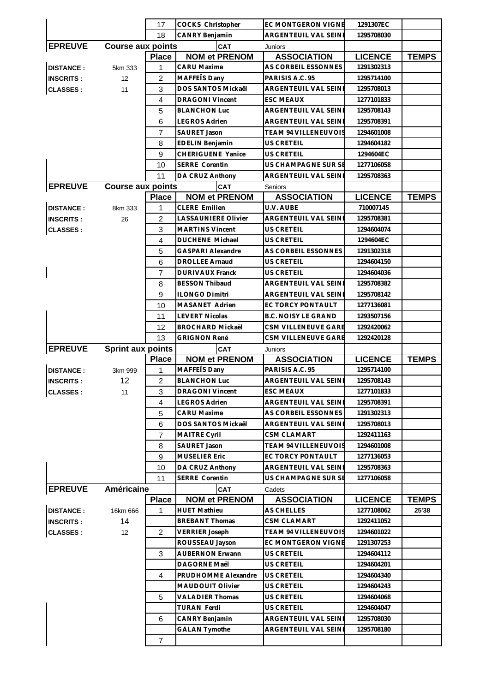|                  |                          | 17             | COCKS Christopher          | <b>EC MONTGERON VIGNE</b>   | 1291307EC      |              |
|------------------|--------------------------|----------------|----------------------------|-----------------------------|----------------|--------------|
|                  |                          | 18             | CANRY Benjamin             | ARGENTEUIL VAL SEINE        | 1295708030     |              |
| <b>EPREUVE</b>   | <b>Course aux points</b> |                | CAT                        | Juniors                     |                |              |
|                  |                          | <b>Place</b>   | <b>NOM et PRENOM</b>       | <b>ASSOCIATION</b>          | <b>LICENCE</b> | <b>TEMPS</b> |
| <b>DISTANCE:</b> | 5km 333                  | 1              | <b>CARU</b> Maxime         | AS CORBEIL ESSONNES         | 1291302313     |              |
| <b>INSCRITS:</b> | 12                       | $\overline{2}$ | MAFFETS Dany               | PARISIS A.C. 95             | 1295714100     |              |
| <b>CLASSES:</b>  | 11                       | 3              | DOS SANTOS Mickaêl         | ARGENTEUIL VAL SEINE        | 1295708013     |              |
|                  |                          | $\overline{4}$ | <b>DRAGONI Vincent</b>     | <b>ESC MEAUX</b>            | 1277101833     |              |
|                  |                          | 5              | <b>BLANCHON Luc</b>        | ARGENTEUIL VAL SEINE        | 1295708143     |              |
|                  |                          | 6              | <b>LEGROS Adrien</b>       | <b>ARGENTEUIL VAL SEINE</b> | 1295708391     |              |
|                  |                          | $\overline{7}$ | <b>SAURET Jason</b>        | <b>TEAM 94 VILLENEUVOIS</b> | 1294601008     |              |
|                  |                          | 8              | <b>EDELIN</b> Benjamin     | US CRETEIL                  | 1294604182     |              |
|                  |                          | 9              | <b>CHERIGUENE Yanice</b>   | US CRETEIL                  | 1294604EC      |              |
|                  |                          | 10             | <b>SERRE Corentin</b>      | US CHAMPAGNE SUR SE         | 1277106058     |              |
|                  |                          | 11             | DA CRUZ Anthony            | ARGENTEUIL VAL SEINE        | 1295708363     |              |
| <b>EPREUVE</b>   | <b>Course aux points</b> |                | CAT                        | Seniors                     |                |              |
|                  |                          | <b>Place</b>   | <b>NOM et PRENOM</b>       | <b>ASSOCIATION</b>          | <b>LICENCE</b> | <b>TEMPS</b> |
| <b>DISTANCE:</b> | 8km 333                  | 1              | <b>CLERE Emilien</b>       | U.V. AUBE                   | 710007145      |              |
| <b>INSCRITS:</b> | 26                       | $\overline{c}$ | <b>LASSAUNIERE Olivier</b> | <b>ARGENTEUIL VAL SEINE</b> | 1295708381     |              |
| <b>CLASSES:</b>  |                          | 3              | <b>MARTINS Vincent</b>     | <b>US CRETEIL</b>           | 1294604074     |              |
|                  |                          | 4              | <b>DUCHENE Michael</b>     | US CRETEIL                  | 1294604EC      |              |
|                  |                          | 5              | <b>GASPARI Alexandre</b>   | AS CORBEIL ESSONNES         | 1291302318     |              |
|                  |                          | 6              | <b>DROLLEE Arnaud</b>      | US CRETEIL                  | 1294604150     |              |
|                  |                          | $\overline{7}$ | <b>DURIVAUX Franck</b>     | US CRETEIL                  | 1294604036     |              |
|                  |                          | 8              | <b>BESSON Thibaud</b>      | ARGENTEUIL VAL SEINE        | 1295708382     |              |
|                  |                          | 9              | <b>ILONGO Dimitri</b>      | ARGENTEUIL VAL SEINE        | 1295708142     |              |
|                  |                          | 10             | MASANET Adrien             | EC TORCY PONTAULT           | 1277136081     |              |
|                  |                          | 11             | <b>LEVERT Nicolas</b>      | <b>B.C. NOISY LE GRAND</b>  | 1293507156     |              |
|                  |                          | 12             | <b>BROCHARD Mickaël</b>    | CSM VILLENEUVE GARE         | 1292420062     |              |
|                  |                          | 13             | <b>GRIGNON René</b>        | CSM VILLENEUVE GARE         | 1292420128     |              |
| <b>EPREUVE</b>   | <b>Sprint aux points</b> |                | CAT                        | Juniors                     |                |              |
|                  |                          | <b>Place</b>   | <b>NOM et PRENOM</b>       | <b>ASSOCIATION</b>          | <b>LICENCE</b> | <b>TEMPS</b> |
| <b>DISTANCE:</b> | 3km 999                  | 1              | MAFFEÏS Dany               | PARISIS A.C. 95             | 1295714100     |              |
| <b>INSCRITS:</b> | 12                       | $\overline{c}$ | <b>BLANCHON Luc</b>        | <b>ARGENTEUIL VAL SEINE</b> | 1295708143     |              |
| <b>CLASSES:</b>  | 11                       | 3              | <b>DRAGONI Vincent</b>     | <b>ESC MEAUX</b>            | 1277101833     |              |
|                  |                          | $\overline{4}$ | <b>LEGROS Adrien</b>       | ARGENTEUIL VAL SEINE        | 1295708391     |              |
|                  |                          | 5              | <b>CARU Maxime</b>         | AS CORBEIL ESSONNES         | 1291302313     |              |
|                  |                          | 6              | DOS SANTOS Mickaêl         | ARGENTEUIL VAL SEINE        | 1295708013     |              |
|                  |                          | 7              | <b>MAITRE Cyril</b>        | <b>CSM CLAMART</b>          | 1292411163     |              |
|                  |                          | 8              | SAURET Jason               | TEAM 94 VILLENEUVOIS        | 1294601008     |              |
|                  |                          | 9              | <b>MUSELIER Eric</b>       | EC TORCY PONTAULT           | 1277136053     |              |
|                  |                          | 10             | DA CRUZ Anthony            | ARGENTEUIL VAL SEINE        | 1295708363     |              |
|                  |                          | 11             | <b>SERRE Corentin</b>      | US CHAMPAGNE SUR SE         | 1277106058     |              |
| <b>EPREUVE</b>   | Américaine               |                | <b>CAT</b>                 | Cadets                      |                |              |
|                  |                          | <b>Place</b>   | <b>NOM et PRENOM</b>       | <b>ASSOCIATION</b>          | <b>LICENCE</b> | <b>TEMPS</b> |
| <b>DISTANCE:</b> | 16km 666                 | 1              | <b>HUET Mathieu</b>        | <b>AS CHELLES</b>           | 1277108062     | 25'38        |
| <b>INSCRITS:</b> | 14                       |                | <b>BREBANT Thomas</b>      | <b>CSM CLAMART</b>          | 1292411052     |              |
| <b>CLASSES:</b>  | 12                       | $\overline{2}$ | <b>VERRIER Joseph</b>      | <b>TEAM 94 VILLENEUVOIS</b> | 1294601022     |              |
|                  |                          |                | ROUSSEAU Jayson            | EC MONTGERON VIGNE          | 1291307253     |              |
|                  |                          | 3              | <b>AUBERNON Erwann</b>     | US CRETEIL                  | 1294604112     |              |
|                  |                          |                | DAGORNE Maël               | US CRETEIL                  | 1294604201     |              |
|                  |                          | 4              | PRUDHOMME Alexandre        | US CRETEIL                  | 1294604340     |              |
|                  |                          |                | MAUDOUIT Olivier           | US CRETEIL                  | 1294604243     |              |
|                  |                          | 5              | <b>VALADIER Thomas</b>     | US CRETEIL                  | 1294604068     |              |
|                  |                          |                | TURAN Ferdi                | US CRETEIL                  | 1294604047     |              |
|                  |                          | 6              | CANRY Benjamin             | ARGENTEUIL VAL SEINE        | 1295708030     |              |
|                  |                          |                | <b>GALAN Tymothe</b>       | ARGENTEUIL VAL SEINE        | 1295708180     |              |
|                  |                          |                |                            |                             |                |              |
|                  |                          | $\overline{7}$ |                            |                             |                |              |